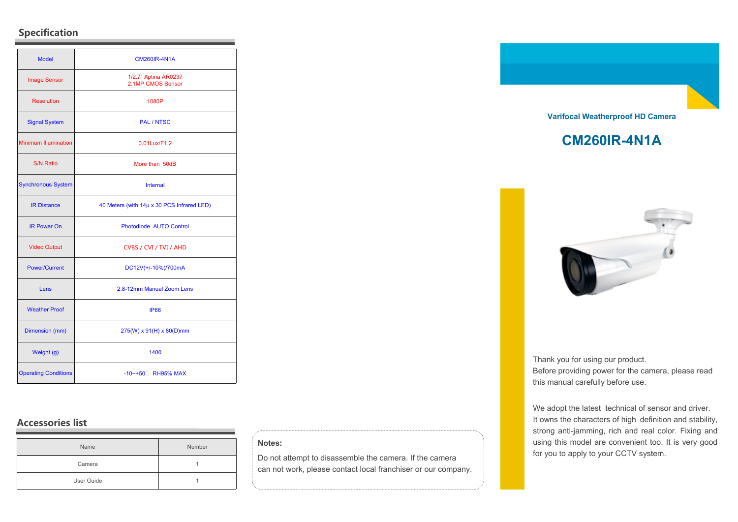# **Specification**

| <b>Model</b>                | <b>CM260IR-4N1A</b>                        |
|-----------------------------|--------------------------------------------|
| <b>Image Sensor</b>         | 1/2.7" Aptina AR0237<br>2.1MP CMOS Sensor  |
| <b>Resolution</b>           | 1080P                                      |
| <b>Signal System</b>        | <b>PAL / NTSC</b>                          |
| <b>Minimum Illumination</b> | 0.01Lux/F1.2                               |
| <b>S/N Ratio</b>            | More than 50dB                             |
| <b>Synchronous System</b>   | Internal                                   |
| <b>IR Distance</b>          | 40 Meters (with 14µ x 30 PCS Infrared LED) |
| <b>IR Power On</b>          | Photodiode AUTO Control                    |
| <b>Video Output</b>         | CVBS / CVI / TVI / AHD                     |
| <b>Power/Current</b>        | DC12V(+/-10%)/700mA                        |
| Lens                        | 2.8-12mm Manual Zoom Lens                  |
| <b>Weather Proof</b>        | <b>IP66</b>                                |
| Dimension (mm)              | 275(W) x 91(H) x 80(D)mm                   |
| Weight (g)                  | 1400                                       |
| <b>Operating Conditions</b> | -10~+50 <sup>[1]</sup> RH95% MAX           |

# **Accessories list**

| Name       | Number |
|------------|--------|
| Camera     |        |
| User Guide |        |

### **Notes:**

Do not attempt to disassemble the camera. If the camera can not work, please contact local franchiser or our company.



# **CM260IR-4N1A**



Thank you for using our product. Before providing power for the camera, please read this manual carefully before use.

We adopt the latest technical of sensor and driver. It owns the characters of high definition and stability, strong anti-jamming, rich and real color. Fixing and using this model are convenient too. It is very good for you to apply to your CCTV system.